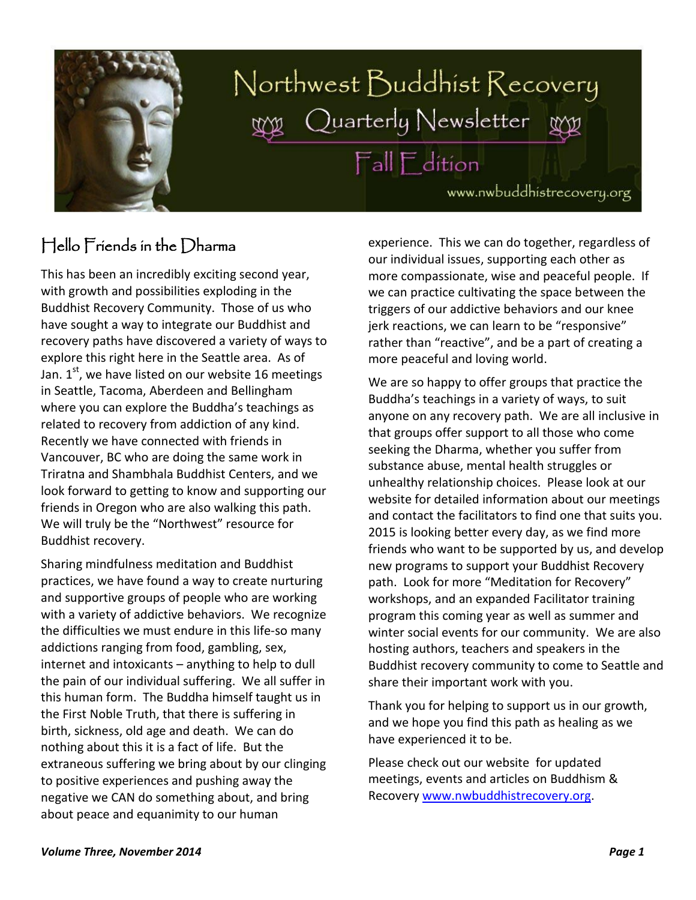

# Northwest Buddhist Recovery Quarterly Newsletter **Fall Edition**

www.nwbuddhistrecovery.org

### Hello Friends in the Dharma

This has been an incredibly exciting second year, with growth and possibilities exploding in the Buddhist Recovery Community. Those of us who have sought a way to integrate our Buddhist and recovery paths have discovered a variety of ways to explore this right here in the Seattle area. As of Jan.  $1<sup>st</sup>$ , we have listed on our website 16 meetings in Seattle, Tacoma, Aberdeen and Bellingham where you can explore the Buddha's teachings as related to recovery from addiction of any kind. Recently we have connected with friends in Vancouver, BC who are doing the same work in Triratna and Shambhala Buddhist Centers, and we look forward to getting to know and supporting our friends in Oregon who are also walking this path. We will truly be the "Northwest" resource for Buddhist recovery.

Sharing mindfulness meditation and Buddhist practices, we have found a way to create nurturing and supportive groups of people who are working with a variety of addictive behaviors. We recognize the difficulties we must endure in this life-so many addictions ranging from food, gambling, sex, internet and intoxicants – anything to help to dull the pain of our individual suffering. We all suffer in this human form. The Buddha himself taught us in the First Noble Truth, that there is suffering in birth, sickness, old age and death. We can do nothing about this it is a fact of life. But the extraneous suffering we bring about by our clinging to positive experiences and pushing away the negative we CAN do something about, and bring about peace and equanimity to our human

experience. This we can do together, regardless of our individual issues, supporting each other as more compassionate, wise and peaceful people. If we can practice cultivating the space between the triggers of our addictive behaviors and our knee jerk reactions, we can learn to be "responsive" rather than "reactive", and be a part of creating a more peaceful and loving world.

We are so happy to offer groups that practice the Buddha's teachings in a variety of ways, to suit anyone on any recovery path. We are all inclusive in that groups offer support to all those who come seeking the Dharma, whether you suffer from substance abuse, mental health struggles or unhealthy relationship choices. Please look at our website for detailed information about our meetings and contact the facilitators to find one that suits you. 2015 is looking better every day, as we find more friends who want to be supported by us, and develop new programs to support your Buddhist Recovery path. Look for more "Meditation for Recovery" workshops, and an expanded Facilitator training program this coming year as well as summer and winter social events for our community. We are also hosting authors, teachers and speakers in the Buddhist recovery community to come to Seattle and share their important work with you.

Thank you for helping to support us in our growth, and we hope you find this path as healing as we have experienced it to be.

Please check out our website for updated meetings, events and articles on Buddhism & Recovery [www.nwbuddhistrecovery.org.](http://www.nwbuddhistrecovery.org/)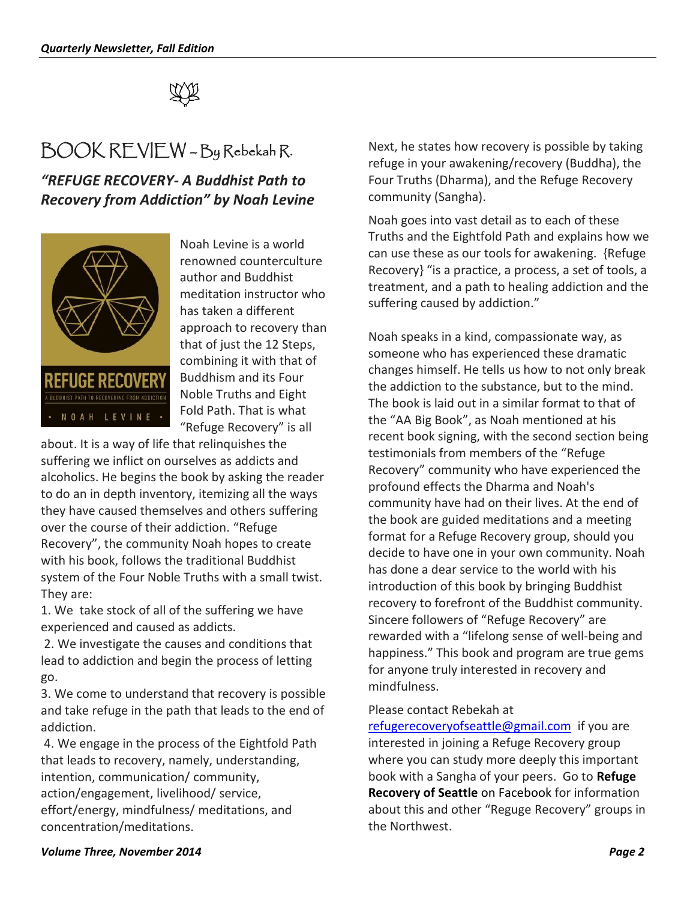

# BOOK REVIEW – By Rebekah R.

*"REFUGE RECOVERY- A Buddhist Path to Recovery from Addiction" by Noah Levine* 



Noah Levine is a world renowned counterculture author and Buddhist meditation instructor who has taken a different approach to recovery than that of just the 12 Steps, combining it with that of Buddhism and its Four Noble Truths and Eight Fold Path. That is what "Refuge Recovery" is all

about. It is a way of life that relinquishes the suffering we inflict on ourselves as addicts and alcoholics. He begins the book by asking the reader to do an in depth inventory, itemizing all the ways they have caused themselves and others suffering over the course of their addiction. "Refuge Recovery", the community Noah hopes to create with his book, follows the traditional Buddhist system of the Four Noble Truths with a small twist. They are:

1. We take stock of all of the suffering we have experienced and caused as addicts.

2. We investigate the causes and conditions that lead to addiction and begin the process of letting go.

3. We come to understand that recovery is possible and take refuge in the path that leads to the end of addiction.

4. We engage in the process of the Eightfold Path that leads to recovery, namely, understanding, intention, communication/ community, action/engagement, livelihood/ service, effort/energy, mindfulness/ meditations, and concentration/meditations.

Next, he states how recovery is possible by taking refuge in your awakening/recovery (Buddha), the Four Truths (Dharma), and the Refuge Recovery community (Sangha).

Noah goes into vast detail as to each of these Truths and the Eightfold Path and explains how we can use these as our tools for awakening. {Refuge Recovery} "is a practice, a process, a set of tools, a treatment, and a path to healing addiction and the suffering caused by addiction."

Noah speaks in a kind, compassionate way, as someone who has experienced these dramatic changes himself. He tells us how to not only break the addiction to the substance, but to the mind. The book is laid out in a similar format to that of the "AA Big Book", as Noah mentioned at his recent book signing, with the second section being testimonials from members of the "Refuge Recovery" community who have experienced the profound effects the Dharma and Noah's community have had on their lives. At the end of the book are guided meditations and a meeting format for a Refuge Recovery group, should you decide to have one in your own community. Noah has done a dear service to the world with his introduction of this book by bringing Buddhist recovery to forefront of the Buddhist community. Sincere followers of "Refuge Recovery" are rewarded with a "lifelong sense of well-being and happiness." This book and program are true gems for anyone truly interested in recovery and mindfulness.

Please contact Rebekah at

[refugerecoveryofseattle@gmail.com](mailto:refugerecoveryofseattle@gmail.com) if you are interested in joining a Refuge Recovery group where you can study more deeply this important book with a Sangha of your peers. Go to **Refuge Recovery of Seattle** on Facebook for information about this and other "Reguge Recovery" groups in the Northwest.

#### *Volume Three, November 2014 Page 2*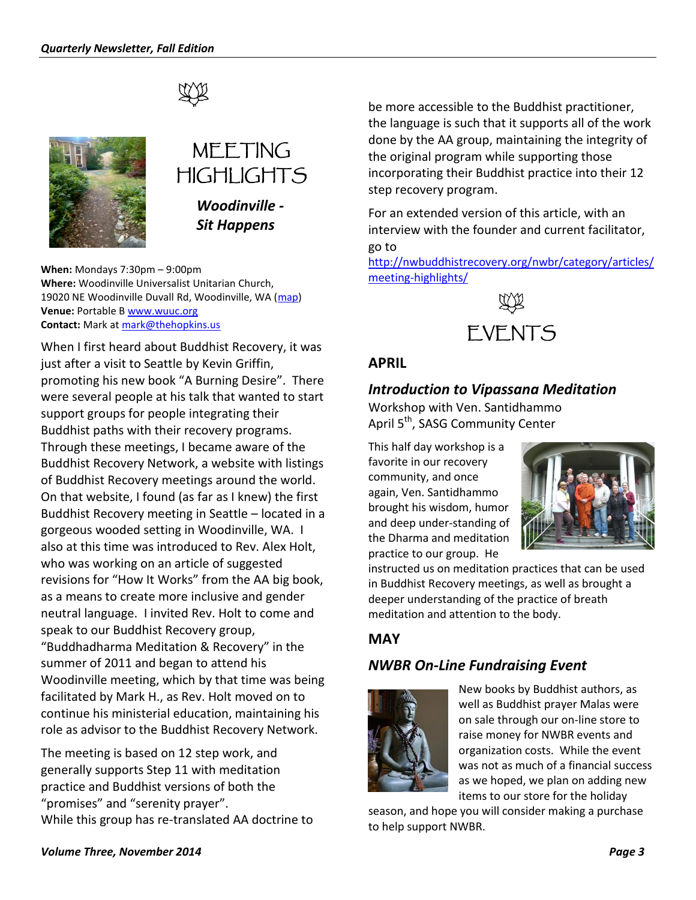



# MEETING HIGHI IGHTS

*Woodinville - Sit Happens*

**When:** Mondays 7:30pm – 9:00pm **Where:** Woodinville Universalist Unitarian Church, 19020 NE Woodinville Duvall Rd, Woodinville, WA [\(map\)](http://maps.google.com/maps?hl=en&q=Woodinville%20Universalist%20Unitarian%20Church,%20%20%20%20%2019020%20NE%20Woodinville%20Duvall%20Rd,%20Woodinville,%20WA) **Venue:** Portable [B www.wuuc.org](http://www.wuuc.org/) **Contact:** Mark at [mark@thehopkins.us](mailto:mark@thehopkins.us)

When I first heard about Buddhist Recovery, it was just after a visit to Seattle by Kevin Griffin, promoting his new book "A Burning Desire". There were several people at his talk that wanted to start support groups for people integrating their Buddhist paths with their recovery programs. Through these meetings, I became aware of the Buddhist Recovery Network, a website with listings of Buddhist Recovery meetings around the world. On that website, I found (as far as I knew) the first Buddhist Recovery meeting in Seattle – located in a gorgeous wooded setting in Woodinville, WA. I also at this time was introduced to Rev. Alex Holt, who was working on an article of suggested revisions for "How It Works" from the AA big book, as a means to create more inclusive and gender neutral language. I invited Rev. Holt to come and speak to our Buddhist Recovery group, "Buddhadharma Meditation & Recovery" in the summer of 2011 and began to attend his Woodinville meeting, which by that time was being facilitated by Mark H., as Rev. Holt moved on to continue his ministerial education, maintaining his role as advisor to the Buddhist Recovery Network.

The meeting is based on 12 step work, and generally supports Step 11 with meditation practice and Buddhist versions of both the "promises" and "serenity prayer". While this group has re-translated AA doctrine to be more accessible to the Buddhist practitioner, the language is such that it supports all of the work done by the AA group, maintaining the integrity of the original program while supporting those incorporating their Buddhist practice into their 12 step recovery program.

For an extended version of this article, with an interview with the founder and current facilitator, go to

[http://nwbuddhistrecovery.org/nwbr/category/articles/](http://nwbuddhistrecovery.org/nwbr/category/articles/meeting-highlights/) [meeting-highlights/](http://nwbuddhistrecovery.org/nwbr/category/articles/meeting-highlights/)



#### **APRIL**

#### *Introduction to Vipassana Meditation*

Workshop with Ven. Santidhammo April 5<sup>th</sup>, SASG Community Center

This half day workshop is a favorite in our recovery community, and once again, Ven. Santidhammo brought his wisdom, humor and deep under-standing of the Dharma and meditation practice to our group. He



instructed us on meditation practices that can be used in Buddhist Recovery meetings, as well as brought a deeper understanding of the practice of breath meditation and attention to the body.

#### **MAY**

#### *NWBR On-Line Fundraising Event*



New books by Buddhist authors, as well as Buddhist prayer Malas were on sale through our on-line store to raise money for NWBR events and organization costs. While the event was not as much of a financial success as we hoped, we plan on adding new items to our store for the holiday

season, and hope you will consider making a purchase to help support NWBR.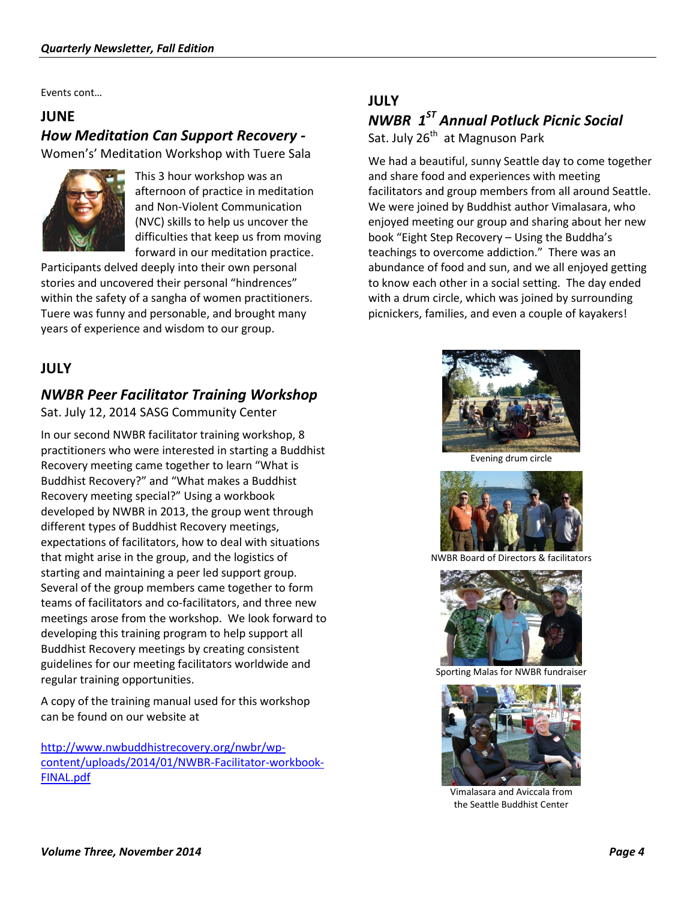Events cont…

#### **JUNE**

#### *How Meditation Can Support Recovery -* Women's' Meditation Workshop with Tuere Sala



This 3 hour workshop was an afternoon of practice in meditation and Non-Violent Communication (NVC) skills to help us uncover the difficulties that keep us from moving forward in our meditation practice.

Participants delved deeply into their own personal stories and uncovered their personal "hindrences" within the safety of a sangha of women practitioners. Tuere was funny and personable, and brought many years of experience and wisdom to our group.

#### **JULY**

#### *NWBR Peer Facilitator Training Workshop*

Sat. July 12, 2014 SASG Community Center

In our second NWBR facilitator training workshop, 8 practitioners who were interested in starting a Buddhist Recovery meeting came together to learn "What is Buddhist Recovery?" and "What makes a Buddhist Recovery meeting special?" Using a workbook developed by NWBR in 2013, the group went through different types of Buddhist Recovery meetings, expectations of facilitators, how to deal with situations that might arise in the group, and the logistics of starting and maintaining a peer led support group. Several of the group members came together to form teams of facilitators and co-facilitators, and three new meetings arose from the workshop. We look forward to developing this training program to help support all Buddhist Recovery meetings by creating consistent guidelines for our meeting facilitators worldwide and regular training opportunities.

A copy of the training manual used for this workshop can be found on our website at

[http://www.nwbuddhistrecovery.org/nwbr/wp](http://www.nwbuddhistrecovery.org/nwbr/wp-content/uploads/2014/01/NWBR-Facilitator-workbook-FINAL.pdf)[content/uploads/2014/01/NWBR-Facilitator-workbook-](http://www.nwbuddhistrecovery.org/nwbr/wp-content/uploads/2014/01/NWBR-Facilitator-workbook-FINAL.pdf)[FINAL.pdf](http://www.nwbuddhistrecovery.org/nwbr/wp-content/uploads/2014/01/NWBR-Facilitator-workbook-FINAL.pdf)

### **JULY** *NWBR 1ST Annual Potluck Picnic Social*

Sat. July 26<sup>th</sup> at Magnuson Park

We had a beautiful, sunny Seattle day to come together and share food and experiences with meeting facilitators and group members from all around Seattle. We were joined by Buddhist author Vimalasara, who enjoyed meeting our group and sharing about her new book "Eight Step Recovery – Using the Buddha's teachings to overcome addiction." There was an abundance of food and sun, and we all enjoyed getting to know each other in a social setting. The day ended with a drum circle, which was joined by surrounding picnickers, families, and even a couple of kayakers!



Evening drum circle



NWBR Board of Directors & facilitators



Sporting Malas for NWBR fundraiser



Vimalasara and Aviccala from the Seattle Buddhist Center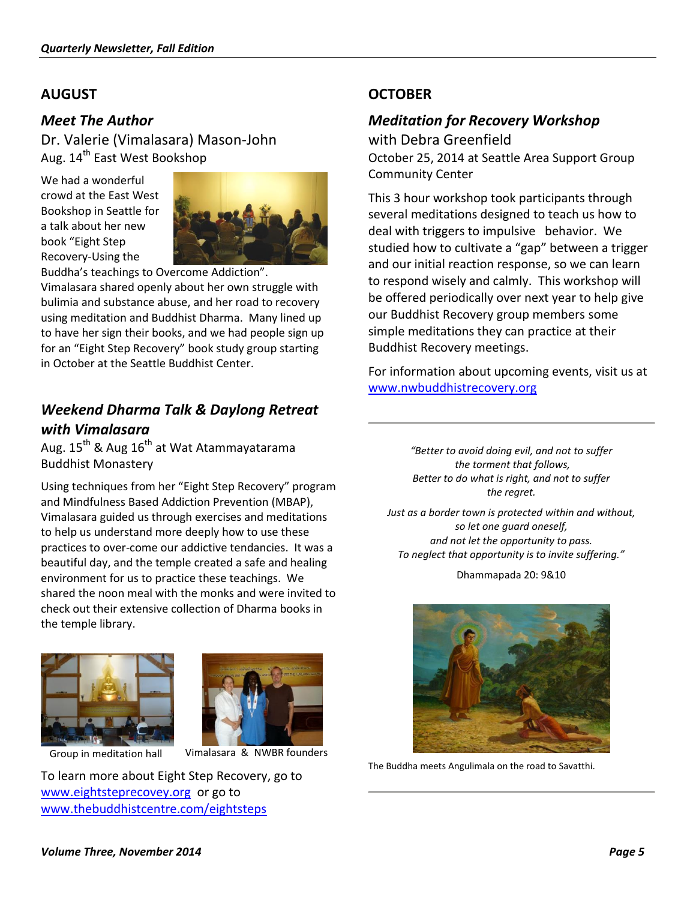#### **AUGUST**

#### *Meet The Author*

Dr. Valerie (Vimalasara) Mason-John Aug. 14<sup>th</sup> East West Bookshop

We had a wonderful crowd at the East West Bookshop in Seattle for a talk about her new book "Eight Step Recovery-Using the



Buddha's teachings to Overcome Addiction".

Vimalasara shared openly about her own struggle with bulimia and substance abuse, and her road to recovery using meditation and Buddhist Dharma. Many lined up to have her sign their books, and we had people sign up for an "Eight Step Recovery" book study group starting in October at the Seattle Buddhist Center.

#### *Weekend Dharma Talk & Daylong Retreat with Vimalasara*

Aug.  $15^{th}$  & Aug  $16^{th}$  at Wat Atammayatarama Buddhist Monastery

Using techniques from her "Eight Step Recovery" program and Mindfulness Based Addiction Prevention (MBAP), Vimalasara guided us through exercises and meditations to help us understand more deeply how to use these practices to over-come our addictive tendancies. It was a beautiful day, and the temple created a safe and healing environment for us to practice these teachings. We shared the noon meal with the monks and were invited to check out their extensive collection of Dharma books in the temple library.





Group in meditation hall

Vimalasara & NWBR founders

To learn more about Eight Step Recovery, go to [www.eightsteprecovey.org](http://www.eightsteprecovey.org/) or go to [www.thebuddhistcentre.com/eightsteps](http://www.thebuddhistcentre.com/eightsteps) 

#### **OCTOBER**

#### *Meditation for Recovery Workshop*

with Debra Greenfield October 25, 2014 at Seattle Area Support Group Community Center

This 3 hour workshop took participants through several meditations designed to teach us how to deal with triggers to impulsive behavior. We studied how to cultivate a "gap" between a trigger and our initial reaction response, so we can learn to respond wisely and calmly. This workshop will be offered periodically over next year to help give our Buddhist Recovery group members some simple meditations they can practice at their Buddhist Recovery meetings.

For information about upcoming events, visit us at [www.nwbuddhistrecovery.org](http://www.nwbuddhistrecovery.org/events) 

> *"Better to avoid doing evil, and not to suffer the torment that follows, Better to do what is right, and not to suffer the regret.*

*Just as a border town is protected within and without, so let one guard oneself, and not let the opportunity to pass. To neglect that opportunity is to invite suffering."*

Dhammapada 20: 9&10



The Buddha meets Angulimala on the road to Savatthi.